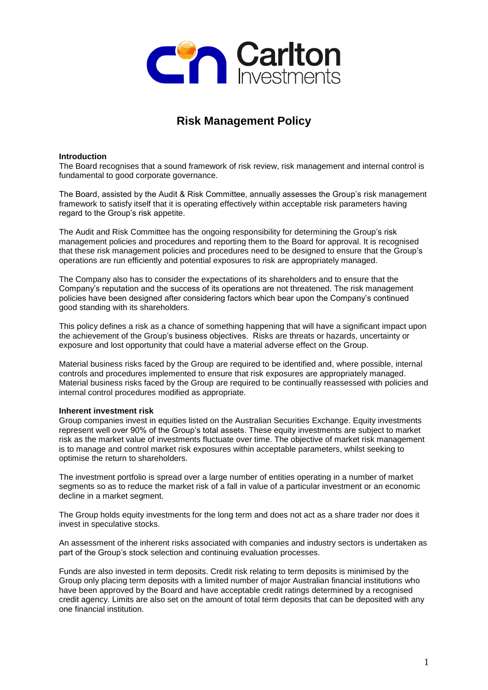

# **Risk Management Policy**

## **Introduction**

The Board recognises that a sound framework of risk review, risk management and internal control is fundamental to good corporate governance.

The Board, assisted by the Audit & Risk Committee, annually assesses the Group's risk management framework to satisfy itself that it is operating effectively within acceptable risk parameters having regard to the Group's risk appetite.

The Audit and Risk Committee has the ongoing responsibility for determining the Group's risk management policies and procedures and reporting them to the Board for approval. It is recognised that these risk management policies and procedures need to be designed to ensure that the Group's operations are run efficiently and potential exposures to risk are appropriately managed.

The Company also has to consider the expectations of its shareholders and to ensure that the Company's reputation and the success of its operations are not threatened. The risk management policies have been designed after considering factors which bear upon the Company's continued good standing with its shareholders.

This policy defines a risk as a chance of something happening that will have a significant impact upon the achievement of the Group's business objectives. Risks are threats or hazards, uncertainty or exposure and lost opportunity that could have a material adverse effect on the Group.

Material business risks faced by the Group are required to be identified and, where possible, internal controls and procedures implemented to ensure that risk exposures are appropriately managed. Material business risks faced by the Group are required to be continually reassessed with policies and internal control procedures modified as appropriate.

## **Inherent investment risk**

Group companies invest in equities listed on the Australian Securities Exchange. Equity investments represent well over 90% of the Group's total assets. These equity investments are subject to market risk as the market value of investments fluctuate over time. The objective of market risk management is to manage and control market risk exposures within acceptable parameters, whilst seeking to optimise the return to shareholders.

The investment portfolio is spread over a large number of entities operating in a number of market segments so as to reduce the market risk of a fall in value of a particular investment or an economic decline in a market segment.

The Group holds equity investments for the long term and does not act as a share trader nor does it invest in speculative stocks.

An assessment of the inherent risks associated with companies and industry sectors is undertaken as part of the Group's stock selection and continuing evaluation processes.

Funds are also invested in term deposits. Credit risk relating to term deposits is minimised by the Group only placing term deposits with a limited number of major Australian financial institutions who have been approved by the Board and have acceptable credit ratings determined by a recognised credit agency. Limits are also set on the amount of total term deposits that can be deposited with any one financial institution.